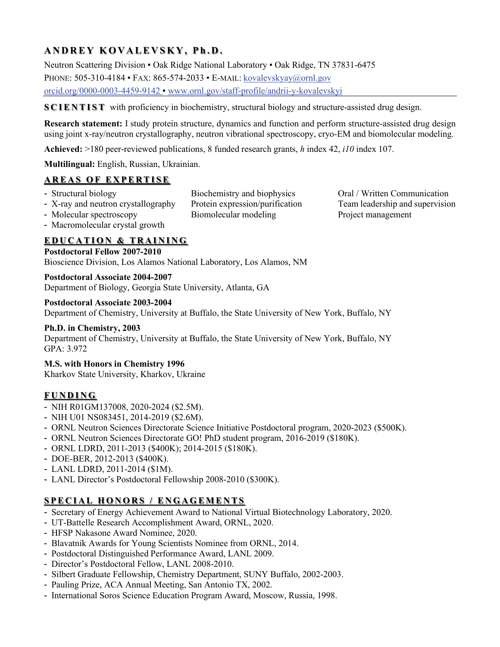# **ANDREY KOVALEVSKY, P h.D.**

Neutron Scattering Division ▪ Oak Ridge National Laboratory ▪ Oak Ridge, TN 37831-6475

PHONE: 505-310-4184 ▪ FAX: 865-574-2033 ▪ E-MAIL: [kovalevskyay@ornl.gov](mailto:kovalevskyay@ornl.gov)

[orcid.org/0000](http://orcid.org/0000-0003-4459-9142)-0003-4459-9142 ▪ [www.ornl.gov/staff](http://www.ornl.gov/staff-profile/andrii-y-kovalevskyi)-profile/andrii-y-kovalevskyi

**SCIENTIST** with proficiency in biochemistry, structural biology and structure-assisted drug design.

**Research statement:** I study protein structure, dynamics and function and perform structure-assisted drug design using joint x-ray/neutron crystallography, neutron vibrational spectroscopy, cryo-EM and biomolecular modeling.

**Achieved:** >180 peer-reviewed publications, 8 funded research grants, *h* index 42, *i10* index 107.

**Multilingual:** English, Russian, Ukrainian.

# **AREAS OF EXPERTISE**

- 
- Molecular spectroscopy Biomolecular modeling Project management
- Structural biology Biochemistry and biophysics Oral / Written Communication - X-ray and neutron crystallography Protein expression/purification Team leadership and supervision
- Macromolecular crystal growth

# **EDUCATION & TRAINING**

**Postdoctoral Fellow 2007-2010**

Bioscience Division, Los Alamos National Laboratory, Los Alamos, NM

#### **Postdoctoral Associate 2004-2007**

Department of Biology, Georgia State University, Atlanta, GA

#### **Postdoctoral Associate 2003-2004**

Department of Chemistry, University at Buffalo, the State University of New York, Buffalo, NY

### **Ph.D. in Chemistry, 2003**

Department of Chemistry, University at Buffalo, the State University of New York, Buffalo, NY GPA: 3.972

## **M.S. with Honors in Chemistry 1996**

Kharkov State University, Kharkov, Ukraine

# **FUNDING**

- NIH R01GM137008, 2020-2024 (\$2.5M).
- NIH U01 NS083451, 2014-2019 (\$2.6M).
- ORNL Neutron Sciences Directorate Science Initiative Postdoctoral program, 2020-2023 (\$500K).
- ORNL Neutron Sciences Directorate GO! PhD student program, 2016-2019 (\$180K).
- ORNL LDRD, 2011-2013 (\$400K); 2014-2015 (\$180K).
- DOE-BER, 2012-2013 (\$400K).
- LANL LDRD, 2011-2014 (\$1M).
- LANL Director's Postdoctoral Fellowship 2008-2010 (\$300K).

# **SPECIAL HONORS / ENGAGEMENTS**

- Secretary of Energy Achievement Award to National Virtual Biotechnology Laboratory, 2020.
- UT-Battelle Research Accomplishment Award, ORNL, 2020.
- HFSP Nakasone Award Nominee, 2020.
- Blavatnik Awards for Young Scientists Nominee from ORNL, 2014.
- Postdoctoral Distinguished Performance Award, LANL 2009.
- Director's Postdoctoral Fellow, LANL 2008-2010.
- Silbert Graduate Fellowship, Chemistry Department, SUNY Buffalo, 2002-2003.
- Pauling Prize, ACA Annual Meeting, San Antonio TX, 2002.
- International Soros Science Education Program Award, Moscow, Russia, 1998.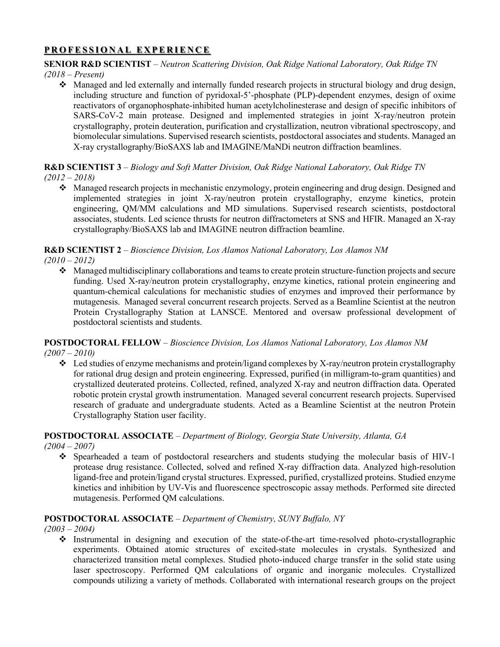## **PROFESSIONAL EXPERIENCE**

### **SENIOR R&D SCIENTIST** – *Neutron Scattering Division, Oak Ridge National Laboratory, Oak Ridge TN*

*(2018 – Present)*

 Managed and led externally and internally funded research projects in structural biology and drug design, including structure and function of pyridoxal-5'-phosphate (PLP)-dependent enzymes, design of oxime reactivators of organophosphate-inhibited human acetylcholinesterase and design of specific inhibitors of SARS-CoV-2 main protease. Designed and implemented strategies in joint X-ray/neutron protein crystallography, protein deuteration, purification and crystallization, neutron vibrational spectroscopy, and biomolecular simulations. Supervised research scientists, postdoctoral associates and students. Managed an X-ray crystallography/BioSAXS lab and IMAGINE/MaNDi neutron diffraction beamlines.

# **R&D SCIENTIST 3** – *Biology and Soft Matter Division, Oak Ridge National Laboratory, Oak Ridge TN*

- *(2012 – 2018)*
	- Managed research projects in mechanistic enzymology, protein engineering and drug design. Designed and implemented strategies in joint X-ray/neutron protein crystallography, enzyme kinetics, protein engineering, QM/MM calculations and MD simulations. Supervised research scientists, postdoctoral associates, students. Led science thrusts for neutron diffractometers at SNS and HFIR. Managed an X-ray crystallography/BioSAXS lab and IMAGINE neutron diffraction beamline.

# **R&D SCIENTIST 2** – *Bioscience Division, Los Alamos National Laboratory, Los Alamos NM*

*(2010 – 2012)*

 Managed multidisciplinary collaborations and teams to create protein structure-function projects and secure funding. Used X-ray/neutron protein crystallography, enzyme kinetics, rational protein engineering and quantum-chemical calculations for mechanistic studies of enzymes and improved their performance by mutagenesis. Managed several concurrent research projects. Served as a Beamline Scientist at the neutron Protein Crystallography Station at LANSCE. Mentored and oversaw professional development of postdoctoral scientists and students.

#### **POSTDOCTORAL FELLOW** – *Bioscience Division, Los Alamos National Laboratory, Los Alamos NM (2007 – 2010)*

 Led studies of enzyme mechanisms and protein/ligand complexes by X-ray/neutron protein crystallography for rational drug design and protein engineering. Expressed, purified (in milligram-to-gram quantities) and crystallized deuterated proteins. Collected, refined, analyzed X-ray and neutron diffraction data. Operated robotic protein crystal growth instrumentation. Managed several concurrent research projects. Supervised research of graduate and undergraduate students. Acted as a Beamline Scientist at the neutron Protein Crystallography Station user facility.

# **POSTDOCTORAL ASSOCIATE** – *Department of Biology, Georgia State University, Atlanta, GA*

*(2004 – 2007)*

 Spearheaded a team of postdoctoral researchers and students studying the molecular basis of HIV-1 protease drug resistance. Collected, solved and refined X-ray diffraction data. Analyzed high-resolution ligand-free and protein/ligand crystal structures. Expressed, purified, crystallized proteins. Studied enzyme kinetics and inhibition by UV-Vis and fluorescence spectroscopic assay methods. Performed site directed mutagenesis. Performed QM calculations.

## **POSTDOCTORAL ASSOCIATE** – *Department of Chemistry, SUNY Buffalo, NY*

*(2003 – 2004)*

 Instrumental in designing and execution of the state-of-the-art time-resolved photo-crystallographic experiments. Obtained atomic structures of excited-state molecules in crystals. Synthesized and characterized transition metal complexes. Studied photo-induced charge transfer in the solid state using laser spectroscopy. Performed QM calculations of organic and inorganic molecules. Crystallized compounds utilizing a variety of methods. Collaborated with international research groups on the project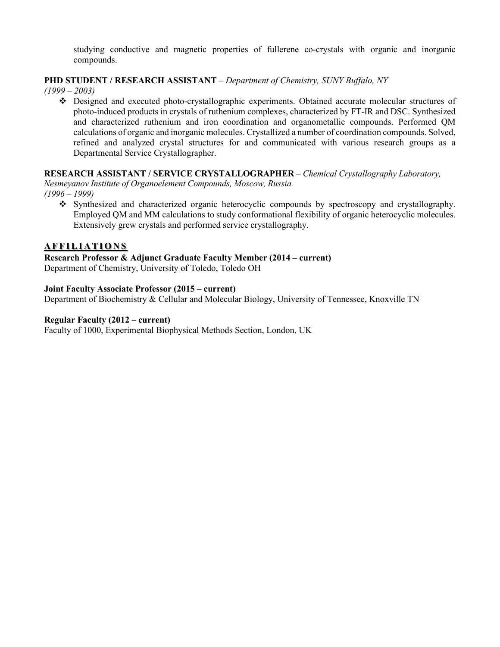studying conductive and magnetic properties of fullerene co-crystals with organic and inorganic compounds.

#### **PHD STUDENT / RESEARCH ASSISTANT** – *Department of Chemistry, SUNY Buffalo, NY*

*(1999 – 2003)*

 Designed and executed photo-crystallographic experiments. Obtained accurate molecular structures of photo-induced products in crystals of ruthenium complexes, characterized by FT-IR and DSC. Synthesized and characterized ruthenium and iron coordination and organometallic compounds. Performed QM calculations of organic and inorganic molecules. Crystallized a number of coordination compounds. Solved, refined and analyzed crystal structures for and communicated with various research groups as a Departmental Service Crystallographer.

#### **RESEARCH ASSISTANT / SERVICE CRYSTALLOGRAPHER** – *Chemical Crystallography Laboratory,*

*Nesmeyanov Institute of Organoelement Compounds, Moscow, Russia (1996 – 1999)*

 Synthesized and characterized organic heterocyclic compounds by spectroscopy and crystallography. Employed QM and MM calculations to study conformational flexibility of organic heterocyclic molecules. Extensively grew crystals and performed service crystallography.

#### **AFFILIATIONS**

# **Research Professor & Adjunct Graduate Faculty Member (2014 – current)**

Department of Chemistry, University of Toledo, Toledo OH

#### **Joint Faculty Associate Professor (2015 – current)**

Department of Biochemistry & Cellular and Molecular Biology, University of Tennessee, Knoxville TN

#### **Regular Faculty (2012 – current)**

Faculty of 1000, Experimental Biophysical Methods Section, London, UK